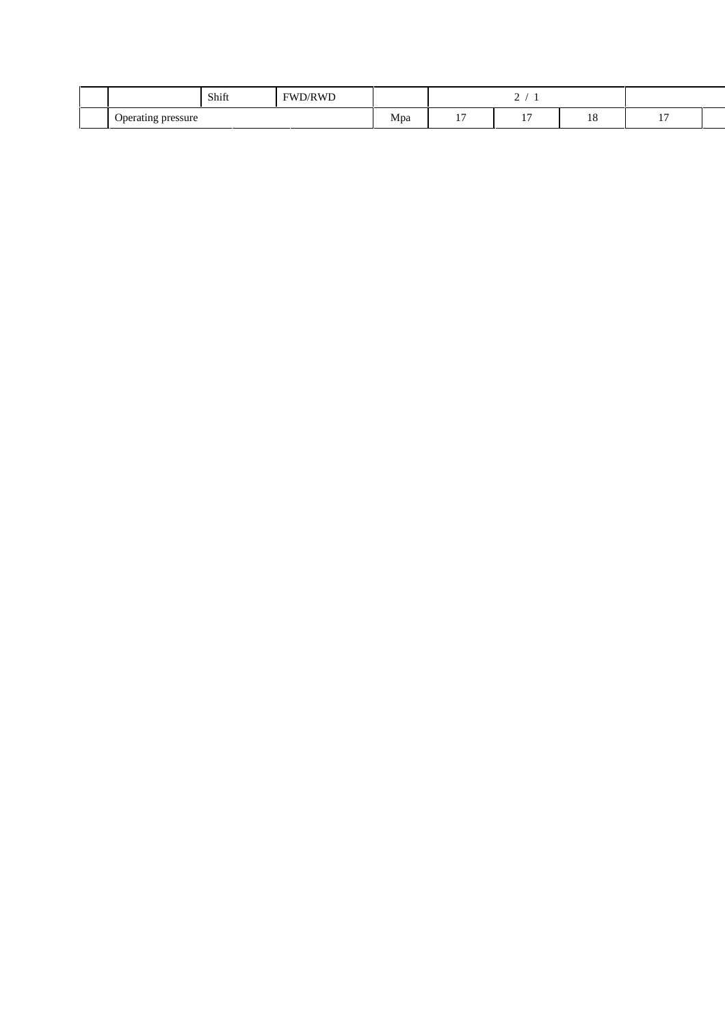|                         | Shift | 'D/RWD<br><b>FWD</b> |                     |                                      | ,         |    |                       |  |
|-------------------------|-------|----------------------|---------------------|--------------------------------------|-----------|----|-----------------------|--|
| Operating pressure<br>o |       |                      | Mpa<br>$\mathbf{r}$ | $\overline{ }$<br>and the control of | --<br>. . | 10 | $\overline{ }$<br>. . |  |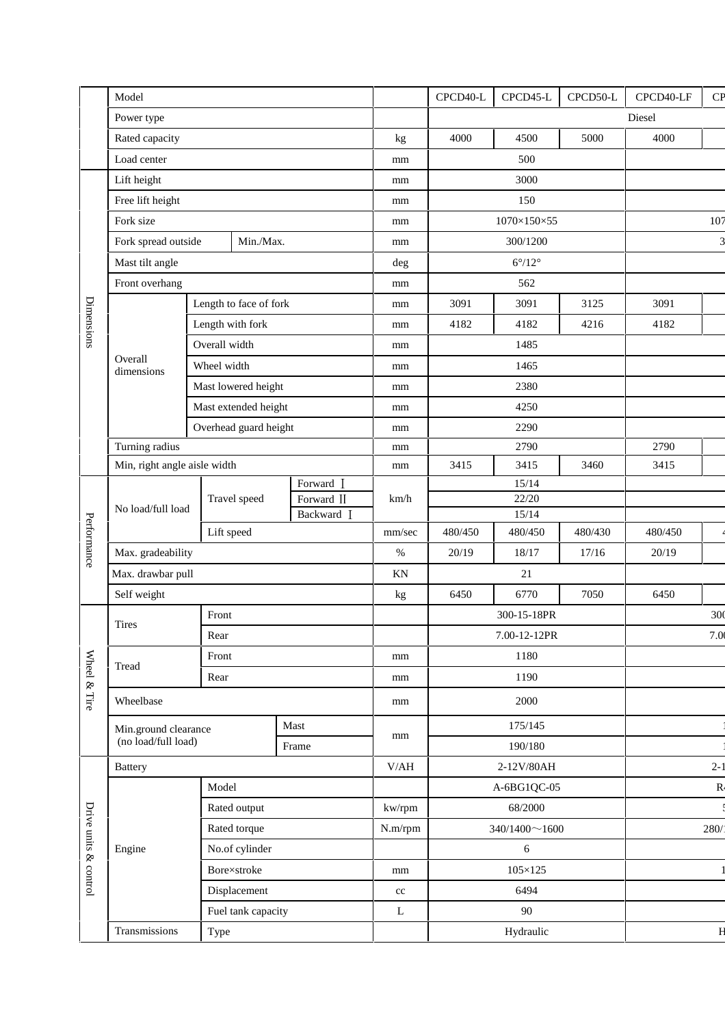|                       | Model                                                        |                   |                          |        | CPCD40-L               | CPCD45-L | CPCD50-L | CPCD40-LF | CP             |
|-----------------------|--------------------------------------------------------------|-------------------|--------------------------|--------|------------------------|----------|----------|-----------|----------------|
|                       | Power type                                                   |                   |                          |        |                        |          |          | Diesel    |                |
|                       | Rated capacity                                               |                   |                          | kg     | 4000                   | 4500     | 5000     | 4000      |                |
|                       | Load center                                                  |                   | mm                       | 500    |                        |          |          |           |                |
| Dimensions            | Lift height                                                  |                   |                          |        |                        | 3000     |          |           |                |
|                       | Free lift height                                             |                   |                          |        | 150                    |          |          |           |                |
|                       | Fork size                                                    |                   |                          | mm     | 1070×150×55            |          |          |           | 107            |
|                       | Fork spread outside<br>Min./Max.                             |                   |                          | mm     | 300/1200               |          |          |           | 3              |
|                       | Mast tilt angle                                              |                   |                          |        | $6^{\circ}/12^{\circ}$ |          |          |           |                |
|                       | Front overhang                                               |                   |                          | mm     | 562                    |          |          |           |                |
|                       |                                                              |                   | Length to face of fork   |        | 3091                   | 3091     | 3125     | 3091      |                |
|                       |                                                              | Length with fork  |                          |        | 4182                   | 4182     | 4216     | 4182      |                |
|                       |                                                              | Overall width     |                          |        | 1485                   |          |          |           |                |
|                       | Overall<br>dimensions                                        | Wheel width       |                          |        | 1465                   |          |          |           |                |
|                       |                                                              |                   | Mast lowered height      |        | 2380                   |          |          |           |                |
|                       |                                                              |                   | Mast extended height     |        | 4250                   |          |          |           |                |
|                       |                                                              |                   | Overhead guard height    |        | 2290                   |          |          |           |                |
|                       | Turning radius                                               |                   |                          |        |                        | 2790     |          | 2790      |                |
|                       | Min, right angle aisle width                                 |                   |                          | mm     | 3415                   | 3415     | 3460     | 3415      |                |
|                       |                                                              |                   | Forward I                |        | 15/14                  |          |          |           |                |
|                       | No load/full load                                            | Travel speed      | Forward II<br>Backward I | km/h   | 22/20<br>15/14         |          |          |           |                |
| Performance           |                                                              | Lift speed        |                          | mm/sec | 480/450                | 480/450  | 480/430  | 480/450   |                |
|                       |                                                              | Max. gradeability |                          |        | 20/19                  | 18/17    | 17/16    | 20/19     |                |
|                       | Max. drawbar pull                                            |                   |                          | KN     |                        | $21\,$   |          |           |                |
|                       | Self weight                                                  |                   |                          |        | 6450                   | 6770     | 7050     | 6450      |                |
|                       |                                                              | Front             |                          |        | 300-15-18PR            |          |          |           | 300            |
|                       | <b>Tires</b>                                                 | Rear              |                          |        | 7.00-12-12PR           |          |          |           | 7.00           |
| Wheel & Tire          |                                                              | Front             |                          |        | 1180                   |          |          |           |                |
|                       | Tread                                                        | Rear              |                          |        | 1190                   |          |          |           |                |
|                       | Wheelbase                                                    |                   |                          | mm     | 2000                   |          |          |           |                |
|                       | Mast<br>Min.ground clearance<br>(no load/full load)<br>Frame |                   |                          |        |                        | 175/145  |          |           |                |
|                       |                                                              |                   |                          | mm     | 190/180                |          |          |           |                |
| Drive units & control | <b>Battery</b>                                               |                   |                          | V/AH   | 2-12V/80AH             |          |          |           | $2 - 1$        |
|                       | Model                                                        |                   |                          |        | A-6BG1QC-05            |          |          |           | R <sub>4</sub> |
|                       |                                                              | Rated output      |                          |        | 68/2000                |          |          |           |                |
|                       |                                                              | Rated torque      |                          |        | $340/1400 \sim 1600$   |          |          |           | 280/           |
|                       | Engine                                                       |                   | No.of cylinder           |        | $\sqrt{6}$             |          |          |           |                |
|                       |                                                              | Bore×stroke       |                          |        | $105\times125$         |          |          |           |                |
|                       |                                                              | Displacement      |                          |        | 6494                   |          |          |           |                |
|                       |                                                              |                   | Fuel tank capacity       |        | 90                     |          |          |           |                |
|                       | Transmissions                                                | Type              |                          |        | Hydraulic              |          |          |           | $\mathbf{H}$   |